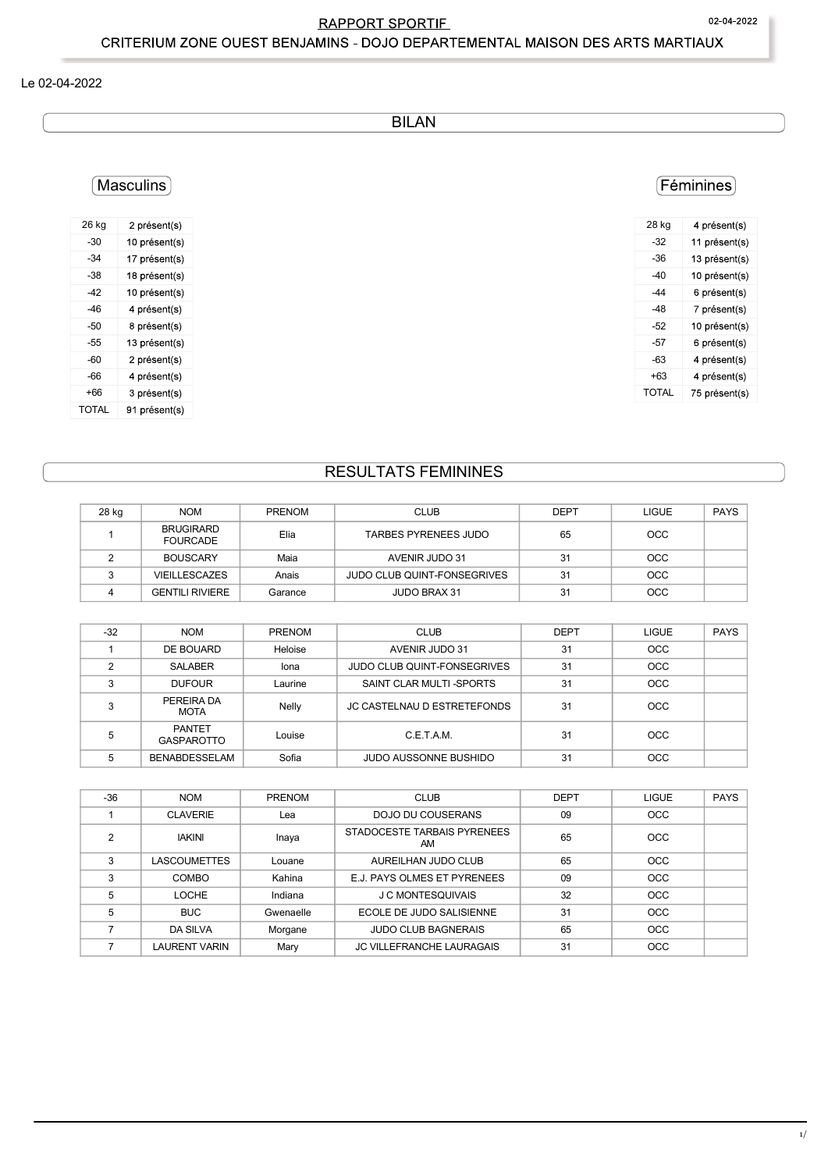## **RAPPORT SPORTIF** CRITERIUM ZONE OUEST BENJAMINS - DOJO DEPARTEMENTAL MAISON DES ARTS MARTIAUX

### Le 02-04-2022

**BILAN** 

# (Masculins)

| 26 kg | 2 présent(s)  |
|-------|---------------|
| $-30$ | 10 présent(s) |
| $-34$ | 17 présent(s) |
| $-38$ | 18 présent(s) |
| -42   | 10 présent(s) |
| -46   | 4 présent(s)  |
| -50   | 8 présent(s)  |
| -55   | 13 présent(s) |
| -60   | 2 présent(s)  |
| -66   | 4 présent(s)  |
| $+66$ | 3 présent(s)  |
| TOTAI | 91 présent(s) |

# (Féminines)

| 28 kg | 4 présent(s)  |
|-------|---------------|
| $-32$ | 11 présent(s) |
| $-36$ | 13 présent(s) |
| -40   | 10 présent(s) |
| -44   | 6 présent(s)  |
| -48   | 7 présent(s)  |
| -52   | 10 présent(s) |
| -57   | 6 présent(s)  |
| -63   | 4 présent(s)  |
| +63   | 4 présent(s)  |
| TOTAL | 75 présent(s) |
|       |               |

# **RESULTATS FEMININES**

| 28 kg | <b>NOM</b>                          | <b>PRENOM</b> | <b>CLUB</b>                 | <b>DEPT</b> | LIGUE      | <b>PAYS</b> |
|-------|-------------------------------------|---------------|-----------------------------|-------------|------------|-------------|
|       | <b>BRUGIRARD</b><br><b>FOURCADE</b> | Elia          | TARBES PYRENEES JUDO        | 65          | <b>OCC</b> |             |
|       | <b>BOUSCARY</b>                     | Maia          | AVENIR JUDO 31              | 31          | <b>OCC</b> |             |
|       | <b>VIEILLESCAZES</b>                | Anais         | JUDO CLUB QUINT-FONSEGRIVES | 31          | <b>OCC</b> |             |
|       | <b>GENTILI RIVIERE</b>              | Garance       | <b>JUDO BRAX 31</b>         | 31          | <b>OCC</b> |             |

| $-32$  | <b>NOM</b>                  | <b>PRENOM</b> | <b>CLUB</b>                        | <b>DEPT</b> | <b>LIGUE</b> | <b>PAYS</b> |
|--------|-----------------------------|---------------|------------------------------------|-------------|--------------|-------------|
|        | DE BOUARD                   | Heloise       | AVENIR JUDO 31                     | 31          | <b>OCC</b>   |             |
| っ      | SALABER                     | lona          | <b>JUDO CLUB QUINT-FONSEGRIVES</b> | 31          | <b>OCC</b>   |             |
| $\sim$ | <b>DUFOUR</b>               | Laurine       | SAINT CLAR MULTI-SPORTS            | 31          | OCC          |             |
| ົ      | PEREIRA DA<br><b>MOTA</b>   | Nelly         | JC CASTELNAU D ESTRETEFONDS        | 31          | OCC          |             |
| 5      | PANTET<br><b>GASPAROTTO</b> | Louise        | C.E.T.A.M.                         | 31          | <b>OCC</b>   |             |
| 5      | <b>BENABDESSELAM</b>        | Sofia         | <b>JUDO AUSSONNE BUSHIDO</b>       | 31          | <b>OCC</b>   |             |

| $-36$ | <b>NOM</b>          | <b>PRENOM</b> | <b>CLUB</b>                       | <b>DEPT</b> | <b>LIGUE</b> | <b>PAYS</b> |
|-------|---------------------|---------------|-----------------------------------|-------------|--------------|-------------|
|       | <b>CLAVERIE</b>     | Lea           | DOJO DU COUSERANS                 | 09          | OCC          |             |
| ◠     | <b>IAKINI</b>       | Inaya         | STADOCESTE TARBAIS PYRENEES<br>ΑM | 65          | <b>OCC</b>   |             |
| 3     | <b>LASCOUMETTES</b> | Louane        | AUREILHAN JUDO CLUB               | 65          | OCC          |             |
| 3     | COMBO               | Kahina        | E.J. PAYS OLMES ET PYRENEES       | 09          | OCC          |             |
| 5     | LOCHE               | Indiana       | <b>J C MONTESQUIVAIS</b>          | 32          | OCC          |             |
| 5     | <b>BUC</b>          | Gwenaelle     | ECOLE DE JUDO SALISIENNE          | 31          | OCC          |             |
|       | <b>DA SILVA</b>     | Morgane       | <b>JUDO CLUB BAGNERAIS</b>        | 65          | OCC          |             |
|       | LAURENT VARIN       | Mary          | <b>JC VILLEFRANCHE LAURAGAIS</b>  | 31          | <b>OCC</b>   |             |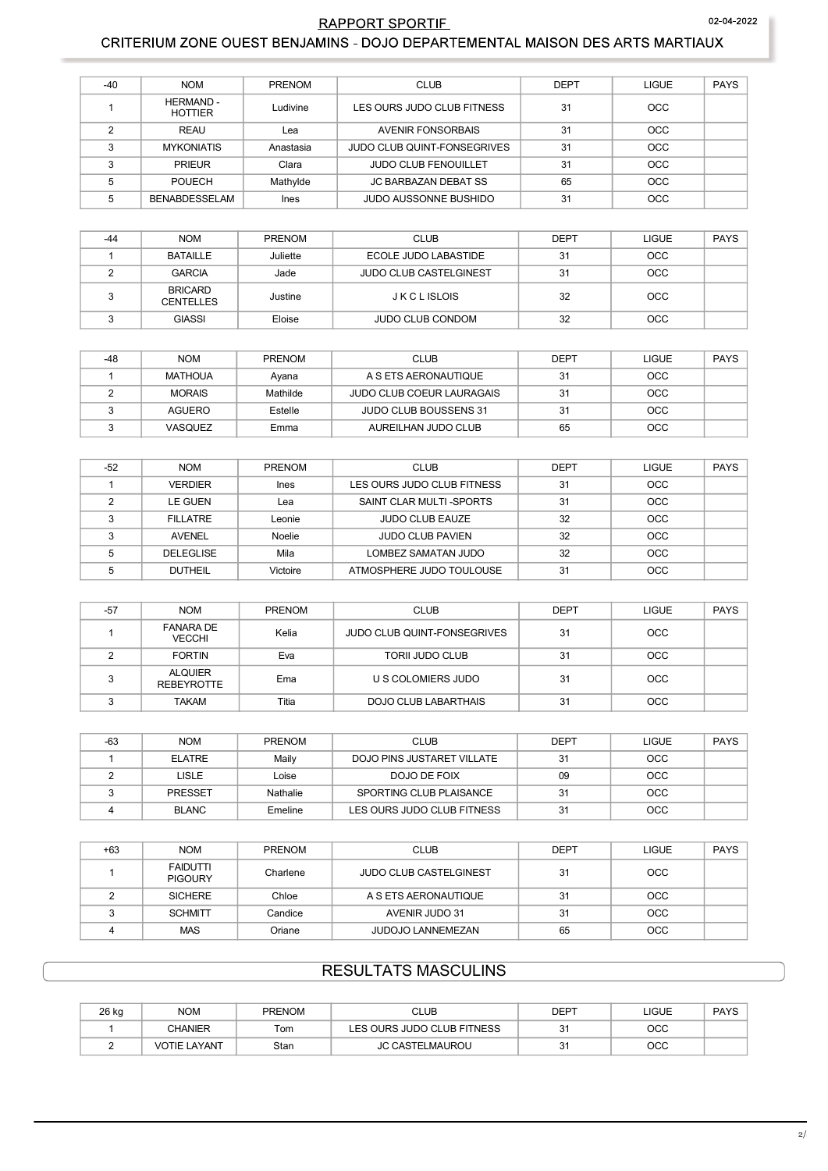## **RAPPORT SPORTIE**

### CRITERIUM ZONE OUEST BENJAMINS - DOJO DEPARTEMENTAL MAISON DES ARTS MARTIAUX

| $-40$  | <b>NOM</b>                         | <b>PRENOM</b> | <b>CLUB</b>                        | <b>DEPT</b> | <b>LIGUE</b> | <b>PAYS</b> |
|--------|------------------------------------|---------------|------------------------------------|-------------|--------------|-------------|
|        | <b>HERMAND -</b><br><b>HOTTIER</b> | Ludivine      | LES OURS JUDO CLUB FITNESS         | 31          | OCC.         |             |
| $\sim$ | REAU                               | Lea           | AVENIR FONSORBAIS                  | 31          | OCC.         |             |
| 3      | <b>MYKONIATIS</b>                  | Anastasia     | <b>JUDO CLUB QUINT-FONSEGRIVES</b> | 31          | <b>OCC</b>   |             |
| ◠      | <b>PRIEUR</b>                      | Clara         | <b>JUDO CLUB FENOUILLET</b>        | 31          | OCC          |             |
| 5      | <b>POUECH</b>                      | Mathylde      | JC BARBAZAN DEBAT SS               | 65          | <b>OCC</b>   |             |
| 5      | BENABDESSELAM                      | <b>Ines</b>   | JUDO AUSSONNE BUSHIDO              | 31          | <b>OCC</b>   |             |

| $-44$ | <b>NOM</b>                         | PRENOM   | <b>CLUB</b>                   | <b>DEPT</b> | <b>LIGUE</b> | PAYS |
|-------|------------------------------------|----------|-------------------------------|-------------|--------------|------|
|       | BATAILLE                           | Juliette | ECOLE JUDO LABASTIDE          | 31          | OCC          |      |
|       | <b>GARCIA</b>                      | Jade     | <b>JUDO CLUB CASTELGINEST</b> | 31          | OCC          |      |
|       | <b>BRICARD</b><br><b>CENTELLES</b> | Justine  | J K C L ISLOIS                | 32          | OCC          |      |
|       | <b>GIASSI</b>                      | Eloise   | <b>JUDO CLUB CONDOM</b>       | 32          | <b>OCC</b>   |      |

| -48 | <b>NOM</b>     | <b>PRENOM</b> | <b>CLUB</b>                  | <b>DEPT</b> | LIGUE      | PAYS |
|-----|----------------|---------------|------------------------------|-------------|------------|------|
|     | <b>MATHOUA</b> | Avana         | A S ETS AERONAUTIQUE         | 31          | OCC        |      |
|     | <b>MORAIS</b>  | Mathilde      | JUDO CLUB COEUR LAURAGAIS    | 31          | OCC        |      |
|     | AGUERO         | Estelle       | <b>JUDO CLUB BOUSSENS 31</b> | 31          | <b>OCC</b> |      |
|     | <b>VASQUEZ</b> | Emma          | AUREILHAN JUDO CLUB          | 65          | <b>OCC</b> |      |

| $-52$ | <b>NOM</b>       | <b>PRENOM</b> | <b>CLUB</b>                | <b>DEPT</b> | <b>LIGUE</b> | <b>PAYS</b> |
|-------|------------------|---------------|----------------------------|-------------|--------------|-------------|
|       | <b>VERDIER</b>   | <b>Ines</b>   | LES OURS JUDO CLUB FITNESS | 31          | <b>OCC</b>   |             |
|       | LE GUEN          | Lea           | SAINT CLAR MULTI-SPORTS    | 31          | <b>OCC</b>   |             |
|       | <b>FILLATRE</b>  | Leonie        | <b>JUDO CLUB EAUZE</b>     | 32          | OCC.         |             |
|       | <b>AVENEL</b>    | Noelie        | <b>JUDO CLUB PAVIEN</b>    | 32          | OCC          |             |
|       | <b>DELEGLISE</b> | Mila          | LOMBEZ SAMATAN JUDO        | 32          | <b>OCC</b>   |             |
|       | <b>DUTHEIL</b>   | Victoire      | ATMOSPHERE JUDO TOULOUSE   | 31          | <b>OCC</b>   |             |

| -57    | <b>NOM</b>                          | PRENOM | <b>CLUB</b>                        | <b>DEPT</b> | LIGUE      | <b>PAYS</b> |
|--------|-------------------------------------|--------|------------------------------------|-------------|------------|-------------|
|        | <b>FANARA DE</b><br><b>VECCHI</b>   | Kelia  | <b>JUDO CLUB QUINT-FONSEGRIVES</b> | 31          | <b>OCC</b> |             |
|        | <b>FORTIN</b>                       | Eva    | <b>TORIL JUDO CLUB</b>             | 31          | OCC.       |             |
| $\sim$ | <b>ALQUIER</b><br><b>REBEYROTTE</b> | Ema    | U S COLOMIERS JUDO                 | 31          | <b>OCC</b> |             |
|        | <b>TAKAM</b>                        | Titia  | DOJO CLUB LABARTHAIS               | 31          | <b>OCC</b> |             |

| -63 | <b>NOM</b>     | <b>PRENOM</b> | <b>CLUB</b>                | <b>DEPT</b> | <b>LIGUE</b> | <b>PAYS</b> |
|-----|----------------|---------------|----------------------------|-------------|--------------|-------------|
|     | <b>ELATRE</b>  | Maily         | DOJO PINS JUSTARET VILLATE | 31          | <b>OCC</b>   |             |
|     | LISLE          | Loise         | DOJO DE FOIX               | 09          | <b>OCC</b>   |             |
|     | <b>PRESSET</b> | Nathalie      | SPORTING CLUB PLAISANCE    | 31          | <b>OCC</b>   |             |
|     | <b>BLANC</b>   | Emeline       | LES OURS JUDO CLUB FITNESS | 31          | <b>OCC</b>   |             |

| $+63$ | <b>NOM</b>                        | <b>PRENOM</b> | <b>CLUB</b>            | <b>DEPT</b> | <b>LIGUE</b> | <b>PAYS</b> |
|-------|-----------------------------------|---------------|------------------------|-------------|--------------|-------------|
|       | <b>FAIDUTTI</b><br><b>PIGOURY</b> | Charlene      | JUDO CLUB CASTELGINEST | 31          | <b>OCC</b>   |             |
|       | <b>SICHERE</b>                    | Chloe         | A S ETS AERONAUTIQUE   | 31          | <b>OCC</b>   |             |
|       | <b>SCHMITT</b>                    | Candice       | AVENIR JUDO 31         | 31          | <b>OCC</b>   |             |
|       | <b>MAS</b>                        | Oriane        | JUDOJO LANNEMEZAN      | 65          | <b>OCC</b>   |             |

# **RESULTATS MASCULINS**

| 26 kg | <b>NOM</b>          | <b>PRENOM</b> | CLUB                       | DEPT | LIGUE | <b>PAYS</b> |
|-------|---------------------|---------------|----------------------------|------|-------|-------------|
|       | <b>CHANIER</b>      | Tom           | LES OURS JUDO CLUB FITNESS | ັ    | осс   |             |
|       | <b>VOTIE LAYANT</b> | Stan          | <b>JC CASTELMAUROU</b>     | ັ    | осс   |             |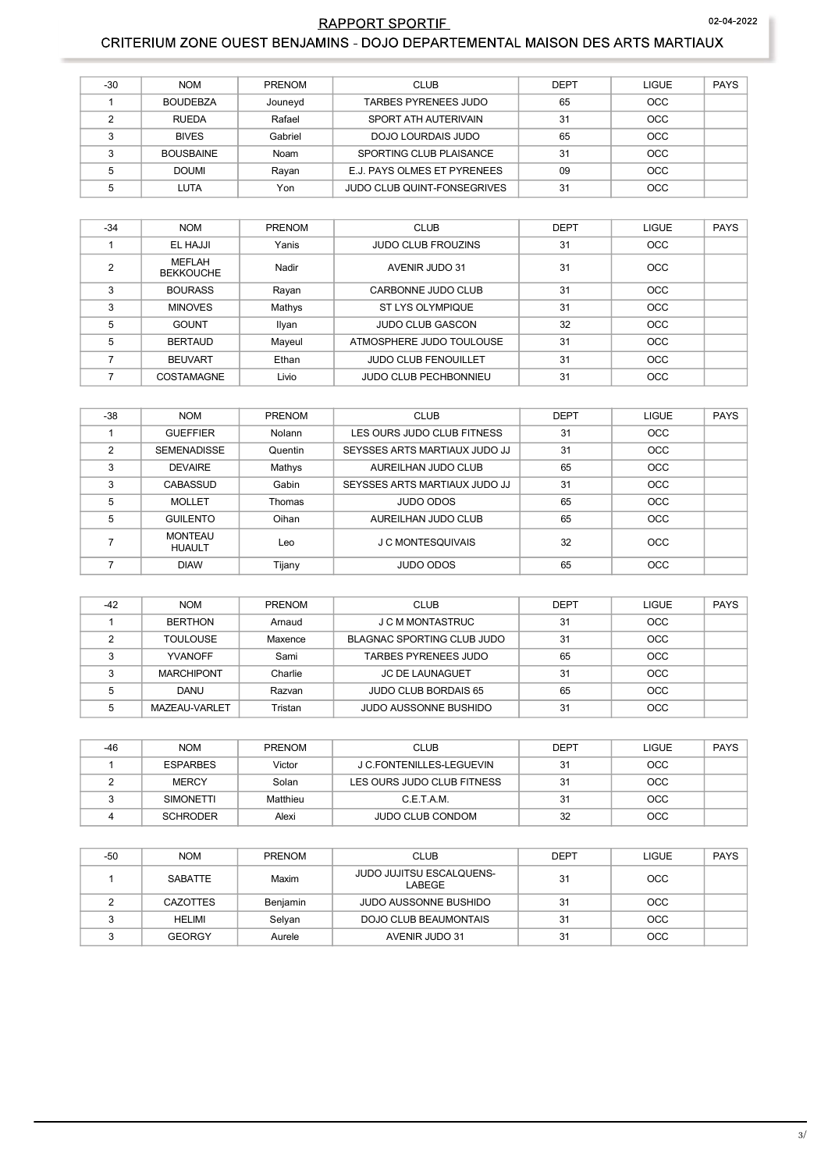### 02-04-2022

## RAPPORT SPORTIE CRITERIUM ZONE OUEST BENJAMINS - DOJO DEPARTEMENTAL MAISON DES ARTS MARTIAUX

| $-30$  | <b>NOM</b>       | <b>PRENOM</b> | <b>CLUB</b>                        | <b>DEPT</b> | LIGUE      | <b>PAYS</b> |
|--------|------------------|---------------|------------------------------------|-------------|------------|-------------|
|        | <b>BOUDEBZA</b>  | Jouneyd       | TARBES PYRENEES JUDO               | 65          | <b>OCC</b> |             |
|        | <b>RUEDA</b>     | Rafael        | SPORT ATH AUTERIVAIN               | 31          | <b>OCC</b> |             |
| $\sim$ | <b>BIVES</b>     | Gabriel       | DOJO LOURDAIS JUDO                 | 65          | <b>OCC</b> |             |
|        | <b>BOUSBAINE</b> | Noam          | SPORTING CLUB PLAISANCE            | 31          | <b>OCC</b> |             |
|        | <b>DOUMI</b>     | Rayan         | E.J. PAYS OLMES ET PYRENEES        | 09          | OCC        |             |
|        | LUTA             | Yon           | <b>JUDO CLUB QUINT-FONSEGRIVES</b> | 31          | <b>OCC</b> |             |

| $-34$ | <b>NOM</b>                        | <b>PRENOM</b> | <b>CLUB</b>                  | <b>DEPT</b> | <b>LIGUE</b> | <b>PAYS</b> |
|-------|-----------------------------------|---------------|------------------------------|-------------|--------------|-------------|
|       | EL HAJJI                          | Yanis         | <b>JUDO CLUB FROUZINS</b>    | 31          | <b>OCC</b>   |             |
| ◠     | <b>MEFLAH</b><br><b>BEKKOUCHE</b> | Nadir         | <b>AVENIR JUDO 31</b>        | 31          | <b>OCC</b>   |             |
| 3     | <b>BOURASS</b>                    | Rayan         | CARBONNE JUDO CLUB           | 31          | <b>OCC</b>   |             |
| 3     | <b>MINOVES</b>                    | Mathys        | ST LYS OLYMPIQUE             | 31          | <b>OCC</b>   |             |
| 5     | <b>GOUNT</b>                      | Ilyan         | <b>JUDO CLUB GASCON</b>      | 32          | <b>OCC</b>   |             |
| 5     | <b>BERTAUD</b>                    | Mayeul        | ATMOSPHERE JUDO TOULOUSE     | 31          | <b>OCC</b>   |             |
|       | <b>BEUVART</b>                    | Ethan         | <b>JUDO CLUB FENOUILLET</b>  | 31          | <b>OCC</b>   |             |
|       | <b>COSTAMAGNE</b>                 | Livio         | <b>JUDO CLUB PECHBONNIEU</b> | 31          | <b>OCC</b>   |             |

| $-38$ | <b>NOM</b>                      | PRENOM  | <b>CLUB</b>                   | <b>DEPT</b> | <b>LIGUE</b> | <b>PAYS</b> |
|-------|---------------------------------|---------|-------------------------------|-------------|--------------|-------------|
|       |                                 |         |                               |             |              |             |
|       | <b>GUEFFIER</b>                 | Nolann  | LES OURS JUDO CLUB FITNESS    | 31          | OCC          |             |
| 2     | <b>SEMENADISSE</b>              | Quentin | SEYSSES ARTS MARTIAUX JUDO JJ | 31          | <b>OCC</b>   |             |
| 3     | <b>DEVAIRE</b>                  | Mathys  | AUREILHAN JUDO CLUB           | 65          | OCC          |             |
| 3     | <b>CABASSUD</b>                 | Gabin   | SEYSSES ARTS MARTIAUX JUDO JJ | 31          | OCC          |             |
| 5     | <b>MOLLET</b>                   | Thomas  | JUDO ODOS                     | 65          | <b>OCC</b>   |             |
| 5     | <b>GUILENTO</b>                 | Oihan   | AUREILHAN JUDO CLUB           | 65          | OCC          |             |
|       | <b>MONTEAU</b><br><b>HUAULT</b> | Leo     | J C MONTESQUIVAIS             | 32          | <b>OCC</b>   |             |
|       | <b>DIAW</b>                     | Tijany  | JUDO ODOS                     | 65          | OCC          |             |

| $-42$ | <b>NOM</b>        | <b>PRENOM</b> | <b>CLUB</b>                 | <b>DEPT</b> | LIGUE      | <b>PAYS</b> |
|-------|-------------------|---------------|-----------------------------|-------------|------------|-------------|
|       | <b>BERTHON</b>    | Arnaud        | J C M MONTASTRUC            | 31          | <b>OCC</b> |             |
|       | <b>TOULOUSE</b>   | Maxence       | BLAGNAC SPORTING CLUB JUDO  | 31          | <b>OCC</b> |             |
|       | <b>YVANOFF</b>    | Sami          | TARBES PYRENEES JUDO        | 65          | <b>OCC</b> |             |
|       | <b>MARCHIPONT</b> | Charlie       | <b>JC DE LAUNAGUET</b>      | 31          | <b>OCC</b> |             |
|       | DANU              | Razvan        | <b>JUDO CLUB BORDAIS 65</b> | 65          | <b>OCC</b> |             |
|       | MAZEAU-VARLET     | Tristan       | JUDO AUSSONNE BUSHIDO       | 31          | <b>OCC</b> |             |

| $-46$ | <b>NOM</b>       | <b>PRENOM</b> | <b>CLUB</b>                | <b>DEPT</b> | LIGUE      | PAYS |
|-------|------------------|---------------|----------------------------|-------------|------------|------|
|       | <b>ESPARBES</b>  | Victor        | J C.FONTENILLES-LEGUEVIN   | 31          | <b>OCC</b> |      |
|       | <b>MERCY</b>     | Solan         | LES OURS JUDO CLUB FITNESS | 31          | OCC        |      |
|       | <b>SIMONETTI</b> | Matthieu      | C.E.T.A.M.                 | 31          | <b>OCC</b> |      |
|       | <b>SCHRODER</b>  | Alexi         | <b>JUDO CLUB CONDOM</b>    | 32          | <b>OCC</b> |      |

| -50 | <b>NOM</b>      | <b>PRENOM</b> | <b>CLUB</b>                               | <b>DEPT</b> | <b>LIGUE</b> | <b>PAYS</b> |
|-----|-----------------|---------------|-------------------------------------------|-------------|--------------|-------------|
|     | SABATTE         | Maxim         | <b>JUDO JUJITSU ESCALQUENS-</b><br>LABEGE | 31          | <b>OCC</b>   |             |
|     | <b>CAZOTTES</b> | Benjamin      | <b>JUDO AUSSONNE BUSHIDO</b>              | 31          | OCC          |             |
|     | HELIMI          | Selyan        | DOJO CLUB BEAUMONTAIS                     | 31          | <b>OCC</b>   |             |
|     | <b>GEORGY</b>   | Aurele        | AVENIR JUDO 31                            | 31          | <b>OCC</b>   |             |